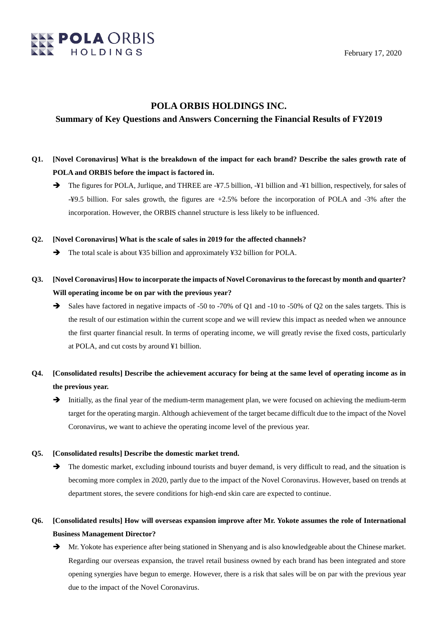

# **POLA ORBIS HOLDINGS INC.**

### **Summary of Key Questions and Answers Concerning the Financial Results of FY2019**

- **Q1. [Novel Coronavirus] What is the breakdown of the impact for each brand? Describe the sales growth rate of POLA and ORBIS before the impact is factored in.**
	- → The figures for POLA, Jurlique, and THREE are  $\frac{1}{4}$ 7.5 billion,  $\frac{1}{4}$  billion and  $\frac{1}{4}$  billion, respectively, for sales of -¥9.5 billion. For sales growth, the figures are +2.5% before the incorporation of POLA and -3% after the incorporation. However, the ORBIS channel structure is less likely to be influenced.

#### **Q2. [Novel Coronavirus] What is the scale of sales in 2019 for the affected channels?**

- → The total scale is about ¥35 billion and approximately ¥32 billion for POLA.
- **Q3. [Novel Coronavirus] How to incorporate the impacts of Novel Coronavirus to the forecast by month and quarter? Will operating income be on par with the previous year?**
	- Sales have factored in negative impacts of -50 to -70% of Q1 and -10 to -50% of Q2 on the sales targets. This is the result of our estimation within the current scope and we will review this impact as needed when we announce the first quarter financial result. In terms of operating income, we will greatly revise the fixed costs, particularly at POLA, and cut costs by around ¥1 billion.
- **Q4. [Consolidated results] Describe the achievement accuracy for being at the same level of operating income as in the previous year.**
	- Initially, as the final year of the medium-term management plan, we were focused on achieving the medium-term target for the operating margin. Although achievement of the target became difficult due to the impact of the Novel Coronavirus, we want to achieve the operating income level of the previous year.

#### **Q5. [Consolidated results] Describe the domestic market trend.**

 $\rightarrow$  The domestic market, excluding inbound tourists and buyer demand, is very difficult to read, and the situation is becoming more complex in 2020, partly due to the impact of the Novel Coronavirus. However, based on trends at department stores, the severe conditions for high-end skin care are expected to continue.

# **Q6. [Consolidated results] How will overseas expansion improve after Mr. Yokote assumes the role of International Business Management Director?**

 Mr. Yokote has experience after being stationed in Shenyang and is also knowledgeable about the Chinese market. Regarding our overseas expansion, the travel retail business owned by each brand has been integrated and store opening synergies have begun to emerge. However, there is a risk that sales will be on par with the previous year due to the impact of the Novel Coronavirus.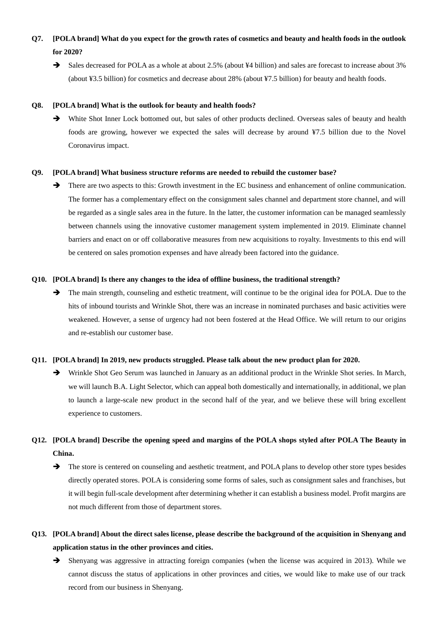# **Q7. [POLA brand] What do you expect for the growth rates of cosmetics and beauty and health foods in the outlook for 2020?**

→ Sales decreased for POLA as a whole at about 2.5% (about ¥4 billion) and sales are forecast to increase about 3% (about ¥3.5 billion) for cosmetics and decrease about 28% (about ¥7.5 billion) for beauty and health foods.

#### **Q8. [POLA brand] What is the outlook for beauty and health foods?**

 White Shot Inner Lock bottomed out, but sales of other products declined. Overseas sales of beauty and health foods are growing, however we expected the sales will decrease by around ¥7.5 billion due to the Novel Coronavirus impact.

#### **Q9. [POLA brand] What business structure reforms are needed to rebuild the customer base?**

 $\rightarrow$  There are two aspects to this: Growth investment in the EC business and enhancement of online communication. The former has a complementary effect on the consignment sales channel and department store channel, and will be regarded as a single sales area in the future. In the latter, the customer information can be managed seamlessly between channels using the innovative customer management system implemented in 2019. Eliminate channel barriers and enact on or off collaborative measures from new acquisitions to royalty. Investments to this end will be centered on sales promotion expenses and have already been factored into the guidance.

#### **Q10. [POLA brand] Is there any changes to the idea of offline business, the traditional strength?**

The main strength, counseling and esthetic treatment, will continue to be the original idea for POLA. Due to the hits of inbound tourists and Wrinkle Shot, there was an increase in nominated purchases and basic activities were weakened. However, a sense of urgency had not been fostered at the Head Office. We will return to our origins and re-establish our customer base.

#### **Q11. [POLA brand] In 2019, new products struggled. Please talk about the new product plan for 2020.**

 Wrinkle Shot Geo Serum was launched in January as an additional product in the Wrinkle Shot series. In March, we will launch B.A. Light Selector, which can appeal both domestically and internationally, in additional, we plan to launch a large-scale new product in the second half of the year, and we believe these will bring excellent experience to customers.

# **Q12. [POLA brand] Describe the opening speed and margins of the POLA shops styled after POLA The Beauty in China.**

 $\rightarrow$  The store is centered on counseling and aesthetic treatment, and POLA plans to develop other store types besides directly operated stores. POLA is considering some forms of sales, such as consignment sales and franchises, but it will begin full-scale development after determining whether it can establish a business model. Profit margins are not much different from those of department stores.

# **Q13. [POLA brand] About the direct sales license, please describe the background of the acquisition in Shenyang and application status in the other provinces and cities.**

 $\rightarrow$  Shenyang was aggressive in attracting foreign companies (when the license was acquired in 2013). While we cannot discuss the status of applications in other provinces and cities, we would like to make use of our track record from our business in Shenyang.